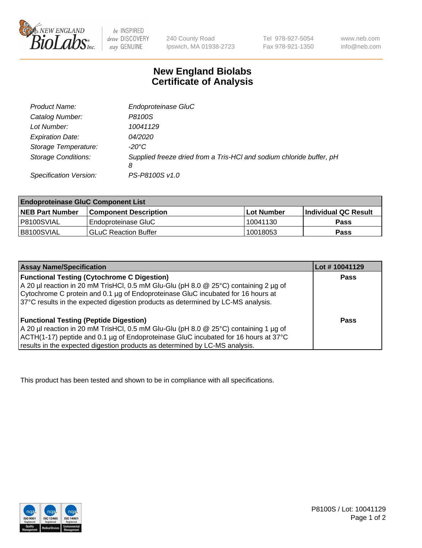

 $be$  INSPIRED drive DISCOVERY stay GENUINE

240 County Road Ipswich, MA 01938-2723 Tel 978-927-5054 Fax 978-921-1350 www.neb.com info@neb.com

## **New England Biolabs Certificate of Analysis**

| Product Name:              | Endoproteinase GluC                                                       |
|----------------------------|---------------------------------------------------------------------------|
| Catalog Number:            | P8100S                                                                    |
| Lot Number:                | 10041129                                                                  |
| <b>Expiration Date:</b>    | 04/2020                                                                   |
| Storage Temperature:       | $-20^{\circ}$ C                                                           |
| <b>Storage Conditions:</b> | Supplied freeze dried from a Tris-HCI and sodium chloride buffer, pH<br>8 |
| Specification Version:     | PS-P8100S v1.0                                                            |

| <b>Endoproteinase GluC Component List</b> |                              |             |                             |  |
|-------------------------------------------|------------------------------|-------------|-----------------------------|--|
| <b>NEB Part Number</b>                    | <b>Component Description</b> | ∣Lot Number | <b>Individual QC Result</b> |  |
| I P8100SVIAL                              | Endoproteinase GluC          | 10041130    | <b>Pass</b>                 |  |
| IB8100SVIAL                               | <b>GLuC Reaction Buffer</b>  | 10018053    | Pass                        |  |

| <b>Assay Name/Specification</b>                                                      | Lot #10041129 |
|--------------------------------------------------------------------------------------|---------------|
| <b>Functional Testing (Cytochrome C Digestion)</b>                                   | <b>Pass</b>   |
| A 20 µl reaction in 20 mM TrisHCl, 0.5 mM Glu-Glu (pH 8.0 @ 25°C) containing 2 µg of |               |
| Cytochrome C protein and 0.1 µg of Endoproteinase GluC incubated for 16 hours at     |               |
| 37°C results in the expected digestion products as determined by LC-MS analysis.     |               |
|                                                                                      |               |
| <b>Functional Testing (Peptide Digestion)</b>                                        | Pass          |
| A 20 µl reaction in 20 mM TrisHCl, 0.5 mM Glu-Glu (pH 8.0 @ 25°C) containing 1 µg of |               |
| ACTH(1-17) peptide and 0.1 µg of Endoproteinase GluC incubated for 16 hours at 37°C  |               |
| results in the expected digestion products as determined by LC-MS analysis.          |               |

This product has been tested and shown to be in compliance with all specifications.